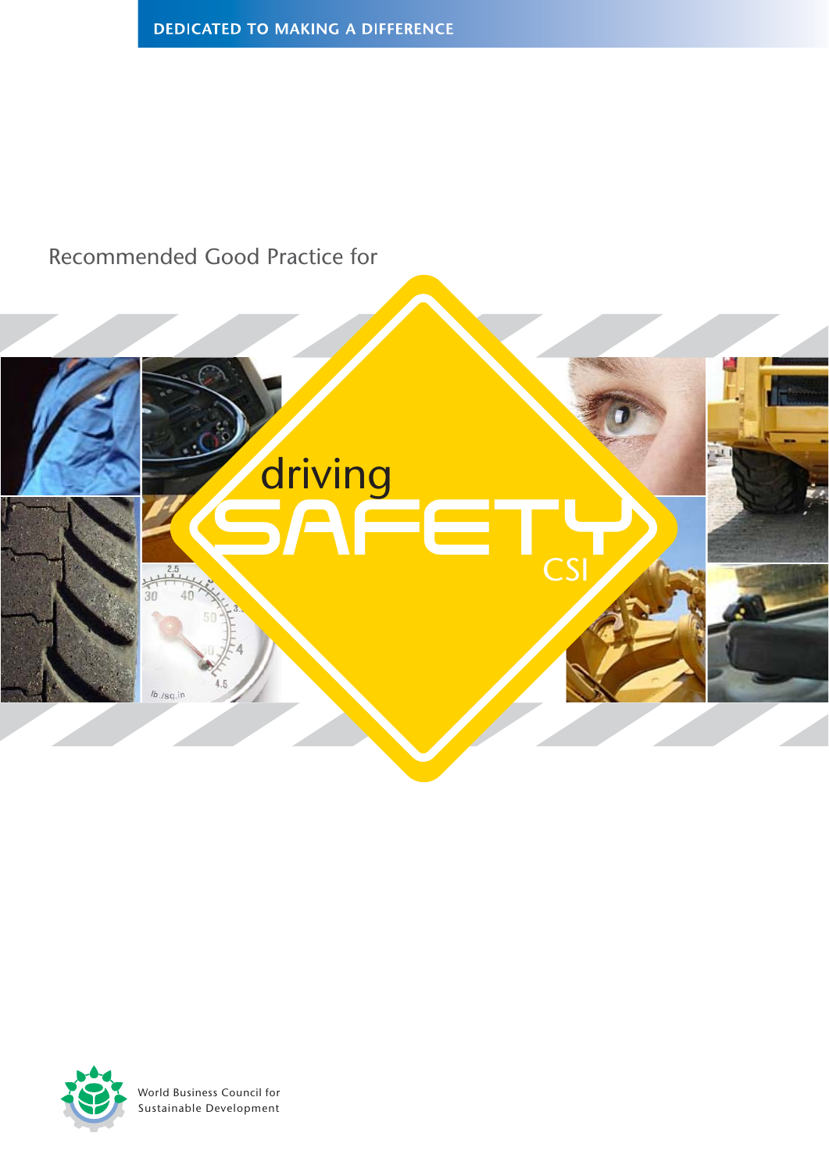# Recommended Good Practice for





World Business Council for Sustainable Development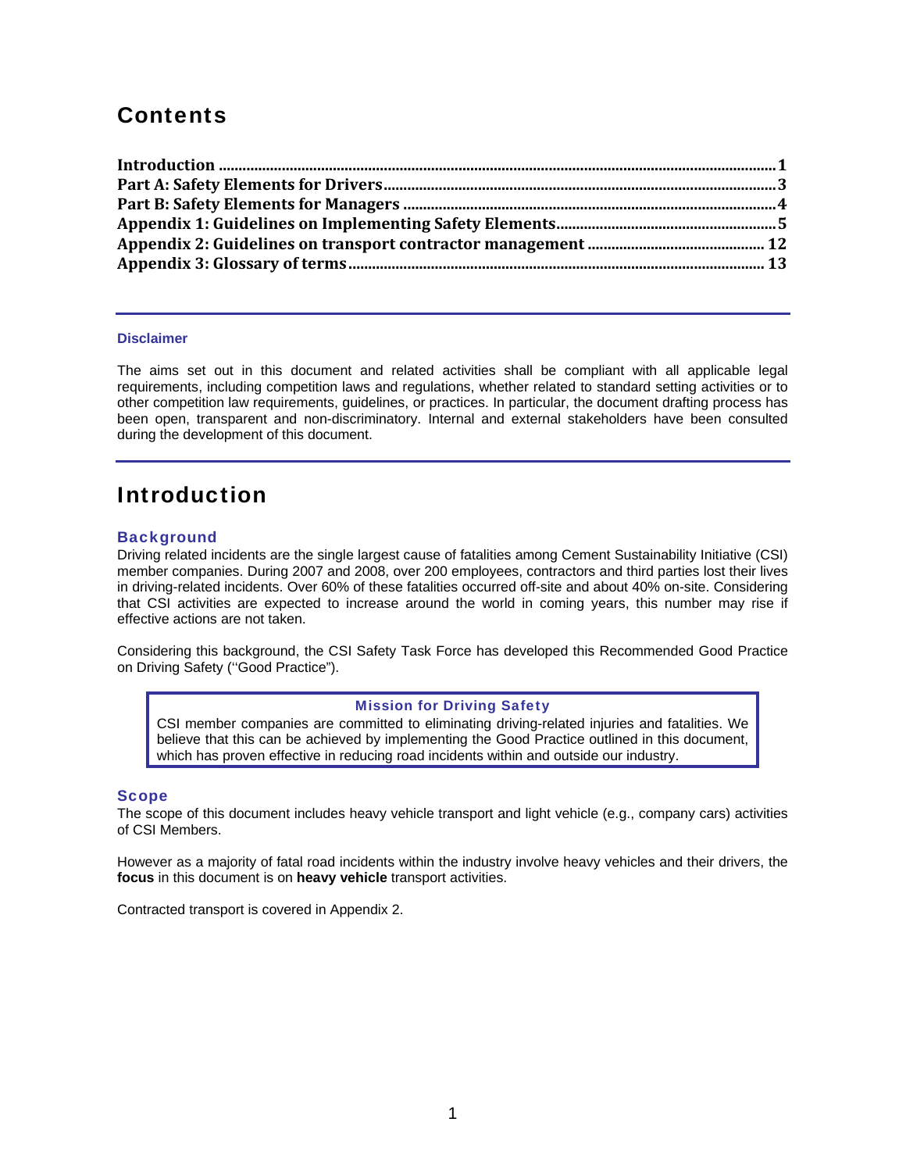## **Contents**

#### **Disclaimer**

The aims set out in this document and related activities shall be compliant with all applicable legal requirements, including competition laws and regulations, whether related to standard setting activities or to other competition law requirements, guidelines, or practices. In particular, the document drafting process has been open, transparent and non-discriminatory. Internal and external stakeholders have been consulted during the development of this document.

## Introduction

## **Background**

Driving related incidents are the single largest cause of fatalities among Cement Sustainability Initiative (CSI) member companies. During 2007 and 2008, over 200 employees, contractors and third parties lost their lives in driving-related incidents. Over 60% of these fatalities occurred off-site and about 40% on-site. Considering that CSI activities are expected to increase around the world in coming years, this number may rise if effective actions are not taken.

Considering this background, the CSI Safety Task Force has developed this Recommended Good Practice on Driving Safety (''Good Practice").

#### Mission for Driving Safety

CSI member companies are committed to eliminating driving-related injuries and fatalities. We believe that this can be achieved by implementing the Good Practice outlined in this document, which has proven effective in reducing road incidents within and outside our industry.

#### Scope

The scope of this document includes heavy vehicle transport and light vehicle (e.g., company cars) activities of CSI Members.

However as a majority of fatal road incidents within the industry involve heavy vehicles and their drivers, the **focus** in this document is on **heavy vehicle** transport activities.

Contracted transport is covered in Appendix 2.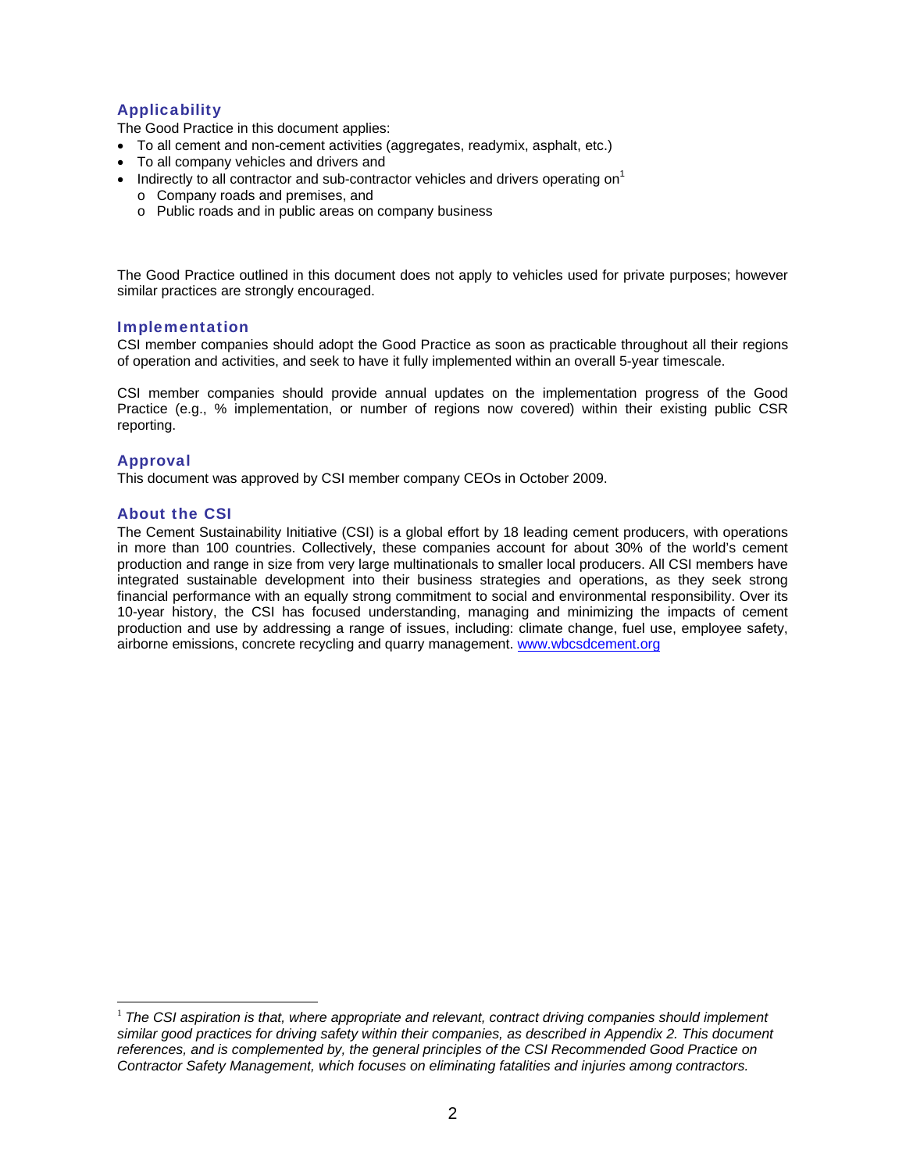## Applicability

The Good Practice in this document applies:

- To all cement and non-cement activities (aggregates, readymix, asphalt, etc.)
- To all company vehicles and drivers and
- Indirectly to all contractor and sub-contractor vehicles and drivers operating on<sup>1</sup>
	- o Company roads and premises, and
	- o Public roads and in public areas on company business

The Good Practice outlined in this document does not apply to vehicles used for private purposes; however similar practices are strongly encouraged.

## Implementation

CSI member companies should adopt the Good Practice as soon as practicable throughout all their regions of operation and activities, and seek to have it fully implemented within an overall 5-year timescale.

CSI member companies should provide annual updates on the implementation progress of the Good Practice (e.g., % implementation, or number of regions now covered) within their existing public CSR reporting.

## Approval

 $\overline{a}$ 

This document was approved by CSI member company CEOs in October 2009.

## About the CSI

The Cement Sustainability Initiative (CSI) is a global effort by 18 leading cement producers, with operations in more than 100 countries. Collectively, these companies account for about 30% of the world's cement production and range in size from very large multinationals to smaller local producers. All CSI members have integrated sustainable development into their business strategies and operations, as they seek strong financial performance with an equally strong commitment to social and environmental responsibility. Over its 10-year history, the CSI has focused understanding, managing and minimizing the impacts of cement production and use by addressing a range of issues, including: climate change, fuel use, employee safety, airborne emissions, concrete recycling and quarry management. www.wbcsdcement.org

<sup>&</sup>lt;sup>1</sup> The CSI aspiration is that, where appropriate and relevant, contract driving companies should implement *similar good practices for driving safety within their companies, as described in Appendix 2. This document references, and is complemented by, the general principles of the CSI Recommended Good Practice on Contractor Safety Management, which focuses on eliminating fatalities and injuries among contractors.*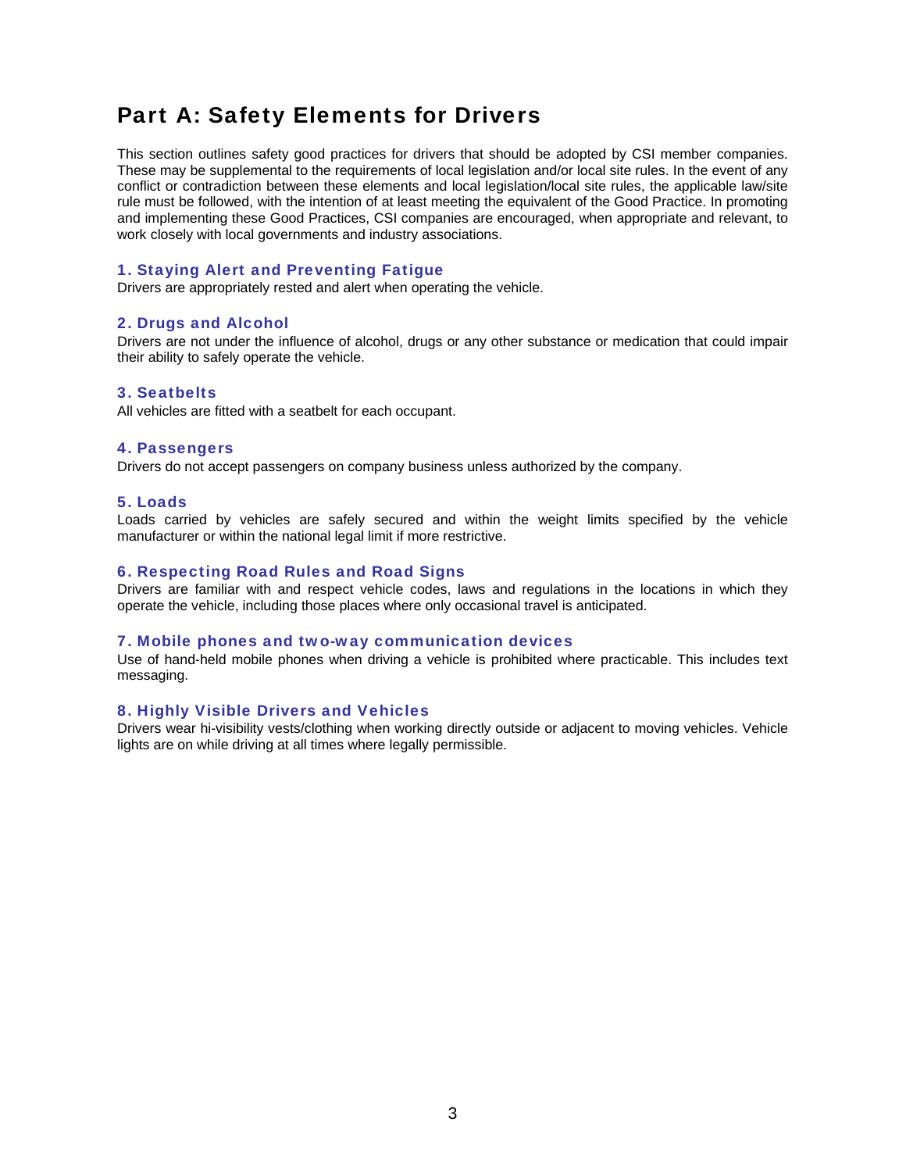## Part A: Safety Elements for Drivers

This section outlines safety good practices for drivers that should be adopted by CSI member companies. These may be supplemental to the requirements of local legislation and/or local site rules. In the event of any conflict or contradiction between these elements and local legislation/local site rules, the applicable law/site rule must be followed, with the intention of at least meeting the equivalent of the Good Practice. In promoting and implementing these Good Practices, CSI companies are encouraged, when appropriate and relevant, to work closely with local governments and industry associations.

## 1. Staying Alert and Preventing Fatigue

Drivers are appropriately rested and alert when operating the vehicle.

## 2. Drugs and Alcohol

Drivers are not under the influence of alcohol, drugs or any other substance or medication that could impair their ability to safely operate the vehicle.

### 3. Seatbelts

All vehicles are fitted with a seatbelt for each occupant.

## 4. Passengers

Drivers do not accept passengers on company business unless authorized by the company.

## 5. Loads

Loads carried by vehicles are safely secured and within the weight limits specified by the vehicle manufacturer or within the national legal limit if more restrictive.

## 6. Respecting Road Rules and Road Signs

Drivers are familiar with and respect vehicle codes, laws and regulations in the locations in which they operate the vehicle, including those places where only occasional travel is anticipated.

## 7. Mobile phones and two-way communication devices

Use of hand-held mobile phones when driving a vehicle is prohibited where practicable. This includes text messaging.

## 8. Highly Visible Drivers and Vehicles

Drivers wear hi-visibility vests/clothing when working directly outside or adjacent to moving vehicles. Vehicle lights are on while driving at all times where legally permissible.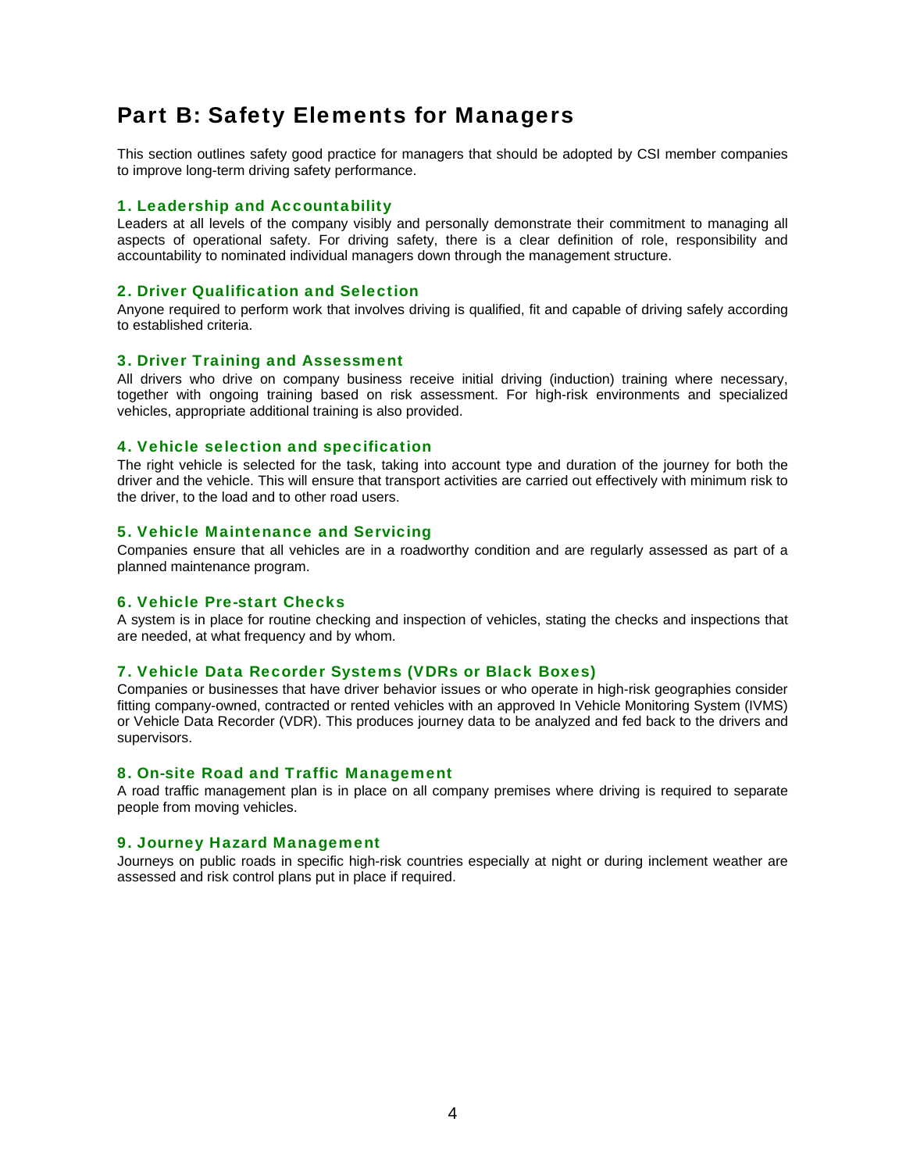## Part B: Safety Elements for Managers

This section outlines safety good practice for managers that should be adopted by CSI member companies to improve long-term driving safety performance.

### 1. Leadership and Accountability

Leaders at all levels of the company visibly and personally demonstrate their commitment to managing all aspects of operational safety. For driving safety, there is a clear definition of role, responsibility and accountability to nominated individual managers down through the management structure.

## 2. Driver Qualification and Selection

Anyone required to perform work that involves driving is qualified, fit and capable of driving safely according to established criteria.

### 3. Driver Training and Assessment

All drivers who drive on company business receive initial driving (induction) training where necessary, together with ongoing training based on risk assessment. For high-risk environments and specialized vehicles, appropriate additional training is also provided.

#### 4. Vehicle selection and specification

The right vehicle is selected for the task, taking into account type and duration of the journey for both the driver and the vehicle. This will ensure that transport activities are carried out effectively with minimum risk to the driver, to the load and to other road users.

#### 5. Vehicle Maintenance and Servicing

Companies ensure that all vehicles are in a roadworthy condition and are regularly assessed as part of a planned maintenance program.

## 6. Vehicle Pre-start Checks

A system is in place for routine checking and inspection of vehicles, stating the checks and inspections that are needed, at what frequency and by whom.

## 7. Vehicle Data Recorder Systems (VDRs or Black Boxes)

Companies or businesses that have driver behavior issues or who operate in high-risk geographies consider fitting company-owned, contracted or rented vehicles with an approved In Vehicle Monitoring System (IVMS) or Vehicle Data Recorder (VDR). This produces journey data to be analyzed and fed back to the drivers and supervisors.

## 8. On-site Road and Traffic Management

A road traffic management plan is in place on all company premises where driving is required to separate people from moving vehicles.

#### 9. Journey Hazard Management

Journeys on public roads in specific high-risk countries especially at night or during inclement weather are assessed and risk control plans put in place if required.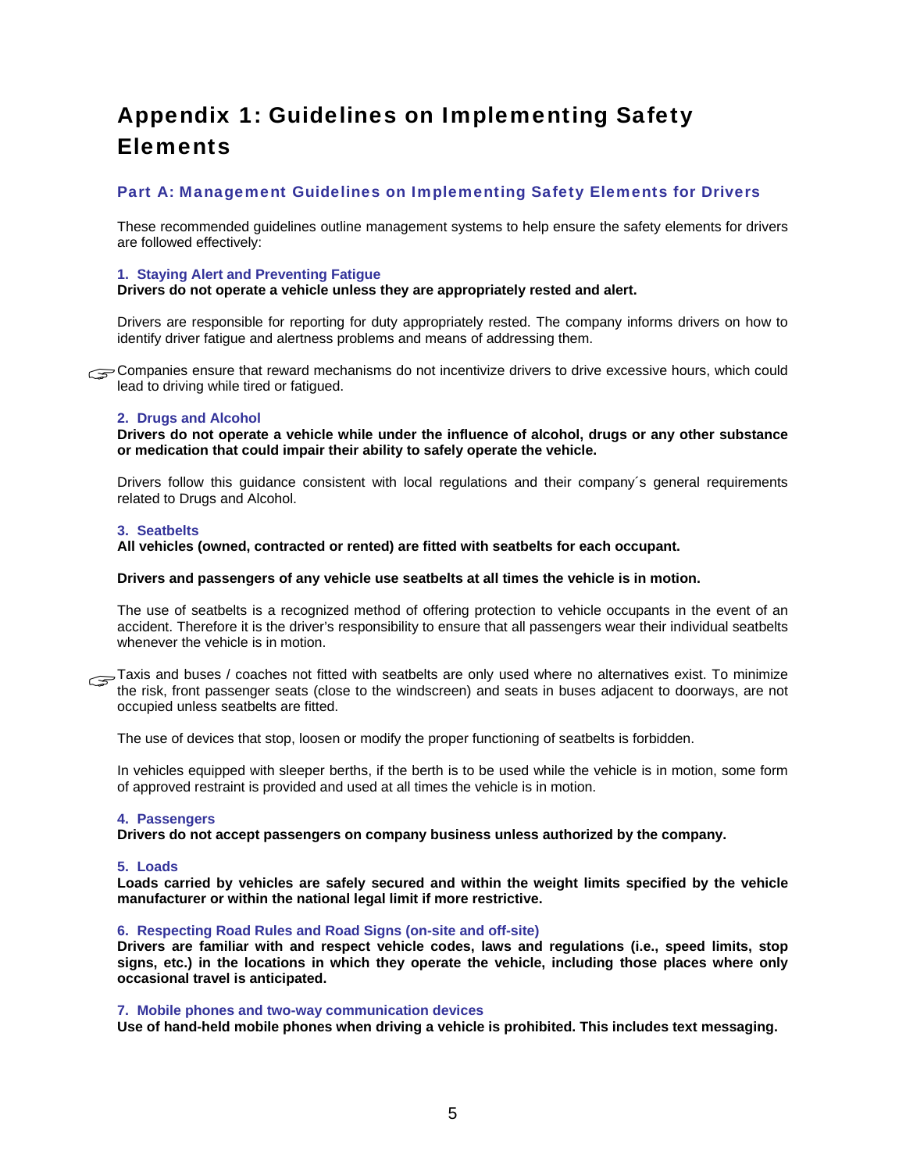## Appendix 1: Guidelines on Implementing Safety **Elements**

## Part A: Management Guidelines on Implementing Safety Elements for Drivers

These recommended guidelines outline management systems to help ensure the safety elements for drivers are followed effectively:

#### **1. Staying Alert and Preventing Fatigue**

#### **Drivers do not operate a vehicle unless they are appropriately rested and alert.**

Drivers are responsible for reporting for duty appropriately rested. The company informs drivers on how to identify driver fatigue and alertness problems and means of addressing them.

Companies ensure that reward mechanisms do not incentivize drivers to drive excessive hours, which could lead to driving while tired or fatigued. lead to driving while tired or fatigued.

#### **2. Drugs and Alcohol**

**Drivers do not operate a vehicle while under the influence of alcohol, drugs or any other substance or medication that could impair their ability to safely operate the vehicle.** 

Drivers follow this guidance consistent with local regulations and their company´s general requirements related to Drugs and Alcohol.

#### **3. Seatbelts**

**All vehicles (owned, contracted or rented) are fitted with seatbelts for each occupant.** 

## **Drivers and passengers of any vehicle use seatbelts at all times the vehicle is in motion.**

The use of seatbelts is a recognized method of offering protection to vehicle occupants in the event of an accident. Therefore it is the driver's responsibility to ensure that all passengers wear their individual seatbelts whenever the vehicle is in motion.

Taxis and buses / coaches not fitted with seatbelts are only used where no alternatives exist. To minimize the risk, front passenger seats (close to the windscreen) and seats in buses adjacent to doorways, are not the risk, front passenger seats (close to the windscreen) and seats in buses adjacent to doorways, are not occupied unless seatbelts are fitted.

The use of devices that stop, loosen or modify the proper functioning of seatbelts is forbidden.

In vehicles equipped with sleeper berths, if the berth is to be used while the vehicle is in motion, some form of approved restraint is provided and used at all times the vehicle is in motion.

#### **4. Passengers**

**Drivers do not accept passengers on company business unless authorized by the company.** 

#### **5. Loads**

**Loads carried by vehicles are safely secured and within the weight limits specified by the vehicle manufacturer or within the national legal limit if more restrictive.** 

#### **6. Respecting Road Rules and Road Signs (on-site and off-site)**

**Drivers are familiar with and respect vehicle codes, laws and regulations (i.e., speed limits, stop signs, etc.) in the locations in which they operate the vehicle, including those places where only occasional travel is anticipated.** 

#### **7. Mobile phones and two-way communication devices**

**Use of hand-held mobile phones when driving a vehicle is prohibited. This includes text messaging.**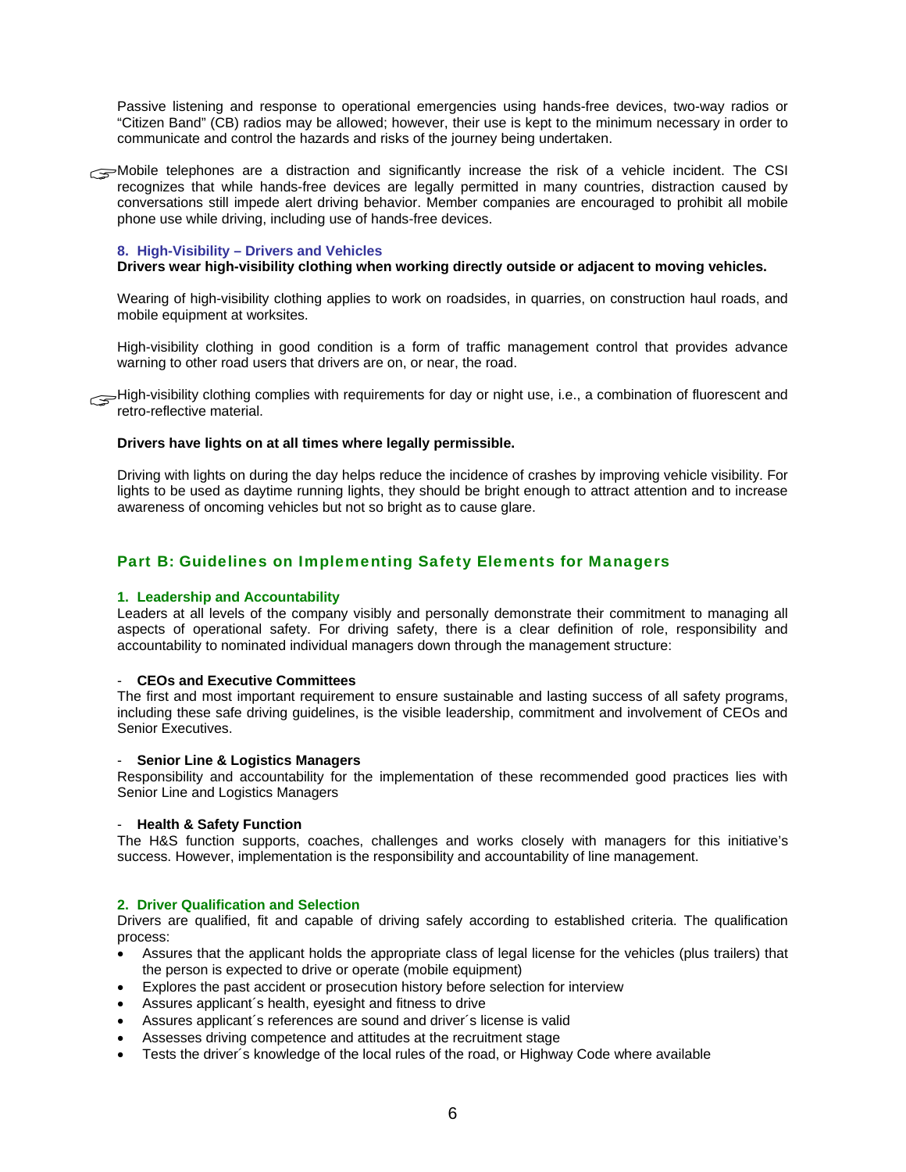Passive listening and response to operational emergencies using hands-free devices, two-way radios or "Citizen Band" (CB) radios may be allowed; however, their use is kept to the minimum necessary in order to communicate and control the hazards and risks of the journey being undertaken.

Mobile telephones are a distraction and significantly increase the risk of a vehicle incident. The CSI recognizes that while hands-free devices are legally permitted in many countries, distraction caused by recognizes that while hands-free devices are legally permitted in many countries, distraction caused by conversations still impede alert driving behavior. Member companies are encouraged to prohibit all mobile phone use while driving, including use of hands-free devices.

#### **8. High-Visibility – Drivers and Vehicles**

#### **Drivers wear high-visibility clothing when working directly outside or adjacent to moving vehicles.**

Wearing of high-visibility clothing applies to work on roadsides, in quarries, on construction haul roads, and mobile equipment at worksites.

High-visibility clothing in good condition is a form of traffic management control that provides advance warning to other road users that drivers are on, or near, the road.

High-visibility clothing complies with requirements for day or night use, i.e., a combination of fluorescent and retro-reflective material. retro-reflective material.

#### **Drivers have lights on at all times where legally permissible.**

Driving with lights on during the day helps reduce the incidence of crashes by improving vehicle visibility. For lights to be used as daytime running lights, they should be bright enough to attract attention and to increase awareness of oncoming vehicles but not so bright as to cause glare.

## Part B: Guidelines on Implementing Safety Elements for Managers

#### **1. Leadership and Accountability**

Leaders at all levels of the company visibly and personally demonstrate their commitment to managing all aspects of operational safety. For driving safety, there is a clear definition of role, responsibility and accountability to nominated individual managers down through the management structure:

#### - **CEOs and Executive Committees**

The first and most important requirement to ensure sustainable and lasting success of all safety programs, including these safe driving guidelines, is the visible leadership, commitment and involvement of CEOs and Senior Executives.

#### - **Senior Line & Logistics Managers**

Responsibility and accountability for the implementation of these recommended good practices lies with Senior Line and Logistics Managers

#### - **Health & Safety Function**

The H&S function supports, coaches, challenges and works closely with managers for this initiative's success. However, implementation is the responsibility and accountability of line management.

#### **2. Driver Qualification and Selection**

Drivers are qualified, fit and capable of driving safely according to established criteria. The qualification process:

- Assures that the applicant holds the appropriate class of legal license for the vehicles (plus trailers) that the person is expected to drive or operate (mobile equipment)
- Explores the past accident or prosecution history before selection for interview
- Assures applicant´s health, eyesight and fitness to drive
- Assures applicant´s references are sound and driver´s license is valid
- Assesses driving competence and attitudes at the recruitment stage
- Tests the driver´s knowledge of the local rules of the road, or Highway Code where available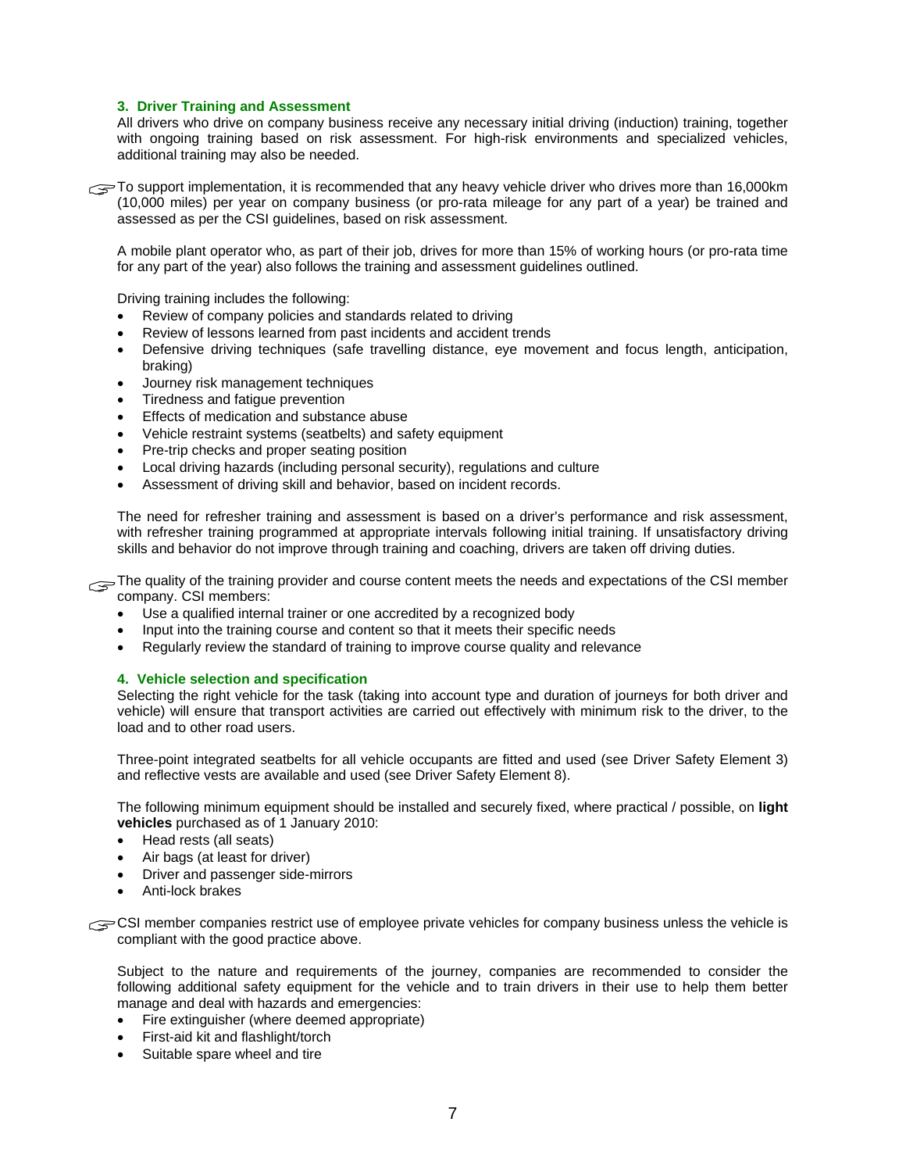### **3. Driver Training and Assessment**

All drivers who drive on company business receive any necessary initial driving (induction) training, together with ongoing training based on risk assessment. For high-risk environments and specialized vehicles, additional training may also be needed.

To support implementation, it is recommended that any heavy vehicle driver who drives more than 16,000km<br>(10,000 miles) per year on company business (or pro-rata mileage for any part of a year) be trained and (10,000 miles) per year on company business (or pro-rata mileage for any part of a year) be trained and assessed as per the CSI guidelines, based on risk assessment.

A mobile plant operator who, as part of their job, drives for more than 15% of working hours (or pro-rata time for any part of the year) also follows the training and assessment guidelines outlined.

Driving training includes the following:

- Review of company policies and standards related to driving
- Review of lessons learned from past incidents and accident trends
- Defensive driving techniques (safe travelling distance, eye movement and focus length, anticipation, braking)
- Journey risk management techniques
- Tiredness and fatigue prevention
- Effects of medication and substance abuse
- Vehicle restraint systems (seatbelts) and safety equipment
- Pre-trip checks and proper seating position
- Local driving hazards (including personal security), regulations and culture
- Assessment of driving skill and behavior, based on incident records.

The need for refresher training and assessment is based on a driver's performance and risk assessment, with refresher training programmed at appropriate intervals following initial training. If unsatisfactory driving skills and behavior do not improve through training and coaching, drivers are taken off driving duties.

The quality of the training provider and course content meets the needs and expectations of the CSI member company. CSI members: company. CSI members:

- Use a qualified internal trainer or one accredited by a recognized body
- Input into the training course and content so that it meets their specific needs
- Regularly review the standard of training to improve course quality and relevance

#### **4. Vehicle selection and specification**

Selecting the right vehicle for the task (taking into account type and duration of journeys for both driver and vehicle) will ensure that transport activities are carried out effectively with minimum risk to the driver, to the load and to other road users.

Three-point integrated seatbelts for all vehicle occupants are fitted and used (see Driver Safety Element 3) and reflective vests are available and used (see Driver Safety Element 8).

The following minimum equipment should be installed and securely fixed, where practical / possible, on **light vehicles** purchased as of 1 January 2010:

- Head rests (all seats)
- Air bags (at least for driver)
- Driver and passenger side-mirrors
- Anti-lock brakes

CSI member companies restrict use of employee private vehicles for company business unless the vehicle is compliant with the good practice above. compliant with the good practice above.

Subject to the nature and requirements of the journey, companies are recommended to consider the following additional safety equipment for the vehicle and to train drivers in their use to help them better manage and deal with hazards and emergencies:

- Fire extinguisher (where deemed appropriate)
- First-aid kit and flashlight/torch
- Suitable spare wheel and tire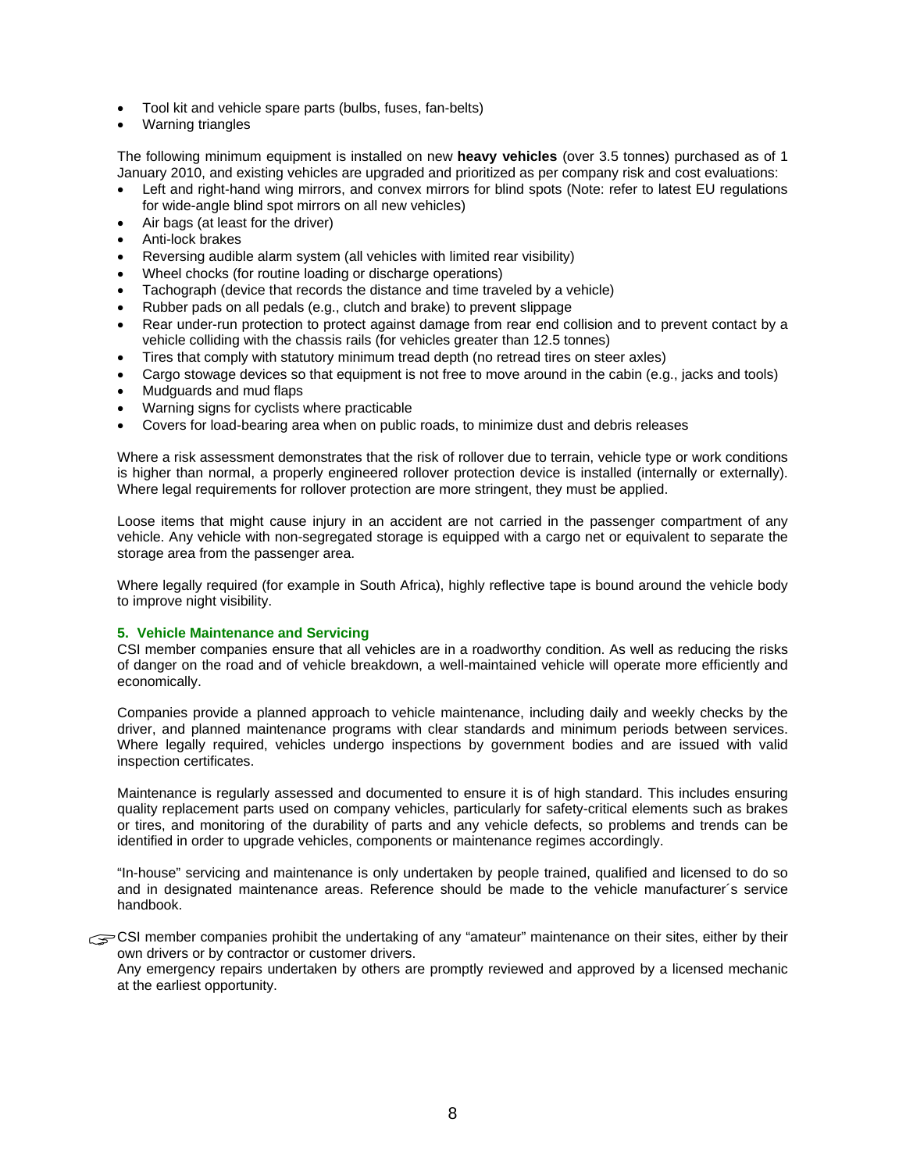- Tool kit and vehicle spare parts (bulbs, fuses, fan-belts)
- Warning triangles

The following minimum equipment is installed on new **heavy vehicles** (over 3.5 tonnes) purchased as of 1 January 2010, and existing vehicles are upgraded and prioritized as per company risk and cost evaluations:

- Left and right-hand wing mirrors, and convex mirrors for blind spots (Note: refer to latest EU regulations for wide-angle blind spot mirrors on all new vehicles)
- Air bags (at least for the driver)
- Anti-lock brakes
- Reversing audible alarm system (all vehicles with limited rear visibility)
- Wheel chocks (for routine loading or discharge operations)
- Tachograph (device that records the distance and time traveled by a vehicle)
- Rubber pads on all pedals (e.g., clutch and brake) to prevent slippage
- Rear under-run protection to protect against damage from rear end collision and to prevent contact by a vehicle colliding with the chassis rails (for vehicles greater than 12.5 tonnes)
- Tires that comply with statutory minimum tread depth (no retread tires on steer axles)
- Cargo stowage devices so that equipment is not free to move around in the cabin (e.g., jacks and tools)
- Mudguards and mud flaps
- Warning signs for cyclists where practicable
- Covers for load-bearing area when on public roads, to minimize dust and debris releases

Where a risk assessment demonstrates that the risk of rollover due to terrain, vehicle type or work conditions is higher than normal, a properly engineered rollover protection device is installed (internally or externally). Where legal requirements for rollover protection are more stringent, they must be applied.

Loose items that might cause injury in an accident are not carried in the passenger compartment of any vehicle. Any vehicle with non-segregated storage is equipped with a cargo net or equivalent to separate the storage area from the passenger area.

Where legally required (for example in South Africa), highly reflective tape is bound around the vehicle body to improve night visibility.

#### **5. Vehicle Maintenance and Servicing**

CSI member companies ensure that all vehicles are in a roadworthy condition. As well as reducing the risks of danger on the road and of vehicle breakdown, a well-maintained vehicle will operate more efficiently and economically.

Companies provide a planned approach to vehicle maintenance, including daily and weekly checks by the driver, and planned maintenance programs with clear standards and minimum periods between services. Where legally required, vehicles undergo inspections by government bodies and are issued with valid inspection certificates.

Maintenance is regularly assessed and documented to ensure it is of high standard. This includes ensuring quality replacement parts used on company vehicles, particularly for safety-critical elements such as brakes or tires, and monitoring of the durability of parts and any vehicle defects, so problems and trends can be identified in order to upgrade vehicles, components or maintenance regimes accordingly.

"In-house" servicing and maintenance is only undertaken by people trained, qualified and licensed to do so and in designated maintenance areas. Reference should be made to the vehicle manufacturer´s service handbook.

CSI member companies prohibit the undertaking of any "amateur" maintenance on their sites, either by their own drivers or by contractor or customer drivers. own drivers or by contractor or customer drivers.

Any emergency repairs undertaken by others are promptly reviewed and approved by a licensed mechanic at the earliest opportunity.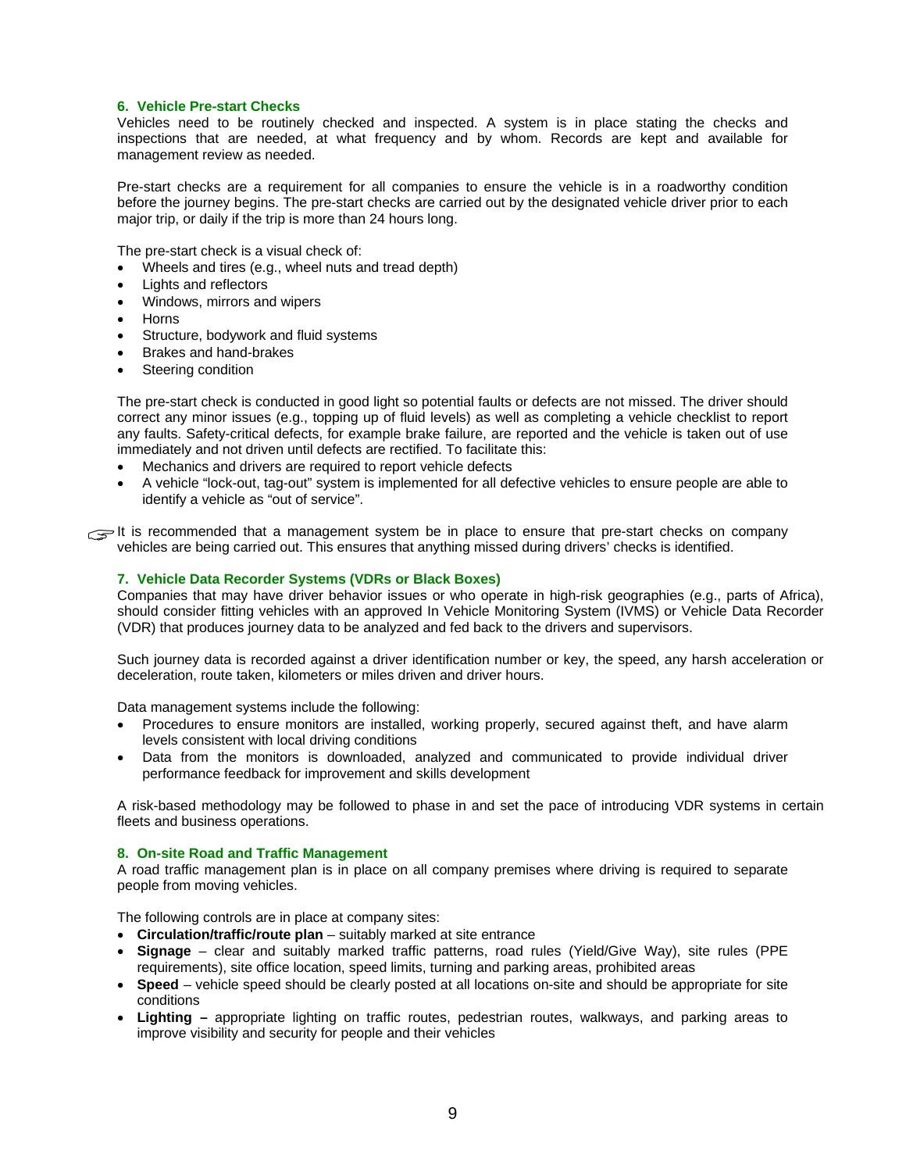#### **6. Vehicle Pre-start Checks**

Vehicles need to be routinely checked and inspected. A system is in place stating the checks and inspections that are needed, at what frequency and by whom. Records are kept and available for management review as needed.

Pre-start checks are a requirement for all companies to ensure the vehicle is in a roadworthy condition before the journey begins. The pre-start checks are carried out by the designated vehicle driver prior to each major trip, or daily if the trip is more than 24 hours long.

The pre-start check is a visual check of:

- Wheels and tires (e.g., wheel nuts and tread depth)
- Lights and reflectors
- Windows, mirrors and wipers
- Horns
- Structure, bodywork and fluid systems
- Brakes and hand-brakes
- Steering condition

The pre-start check is conducted in good light so potential faults or defects are not missed. The driver should correct any minor issues (e.g., topping up of fluid levels) as well as completing a vehicle checklist to report any faults. Safety-critical defects, for example brake failure, are reported and the vehicle is taken out of use immediately and not driven until defects are rectified. To facilitate this:

- Mechanics and drivers are required to report vehicle defects
- A vehicle "lock-out, tag-out" system is implemented for all defective vehicles to ensure people are able to identify a vehicle as "out of service".

It is recommended that a management system be in place to ensure that pre-start checks on company<br>vehicles are being carried out. This ensures that anything missed during drivers' checks is identified. vehicles are being carried out. This ensures that anything missed during drivers' checks is identified.

#### **7. Vehicle Data Recorder Systems (VDRs or Black Boxes)**

Companies that may have driver behavior issues or who operate in high-risk geographies (e.g., parts of Africa), should consider fitting vehicles with an approved In Vehicle Monitoring System (IVMS) or Vehicle Data Recorder (VDR) that produces journey data to be analyzed and fed back to the drivers and supervisors.

Such journey data is recorded against a driver identification number or key, the speed, any harsh acceleration or deceleration, route taken, kilometers or miles driven and driver hours.

Data management systems include the following:

- Procedures to ensure monitors are installed, working properly, secured against theft, and have alarm levels consistent with local driving conditions
- Data from the monitors is downloaded, analyzed and communicated to provide individual driver performance feedback for improvement and skills development

A risk-based methodology may be followed to phase in and set the pace of introducing VDR systems in certain fleets and business operations.

#### **8. On-site Road and Traffic Management**

A road traffic management plan is in place on all company premises where driving is required to separate people from moving vehicles.

The following controls are in place at company sites:

- **Circulation/traffic/route plan** suitably marked at site entrance
- **Signage** clear and suitably marked traffic patterns, road rules (Yield/Give Way), site rules (PPE requirements), site office location, speed limits, turning and parking areas, prohibited areas
- **Speed**  vehicle speed should be clearly posted at all locations on-site and should be appropriate for site conditions
- **Lighting –** appropriate lighting on traffic routes, pedestrian routes, walkways, and parking areas to improve visibility and security for people and their vehicles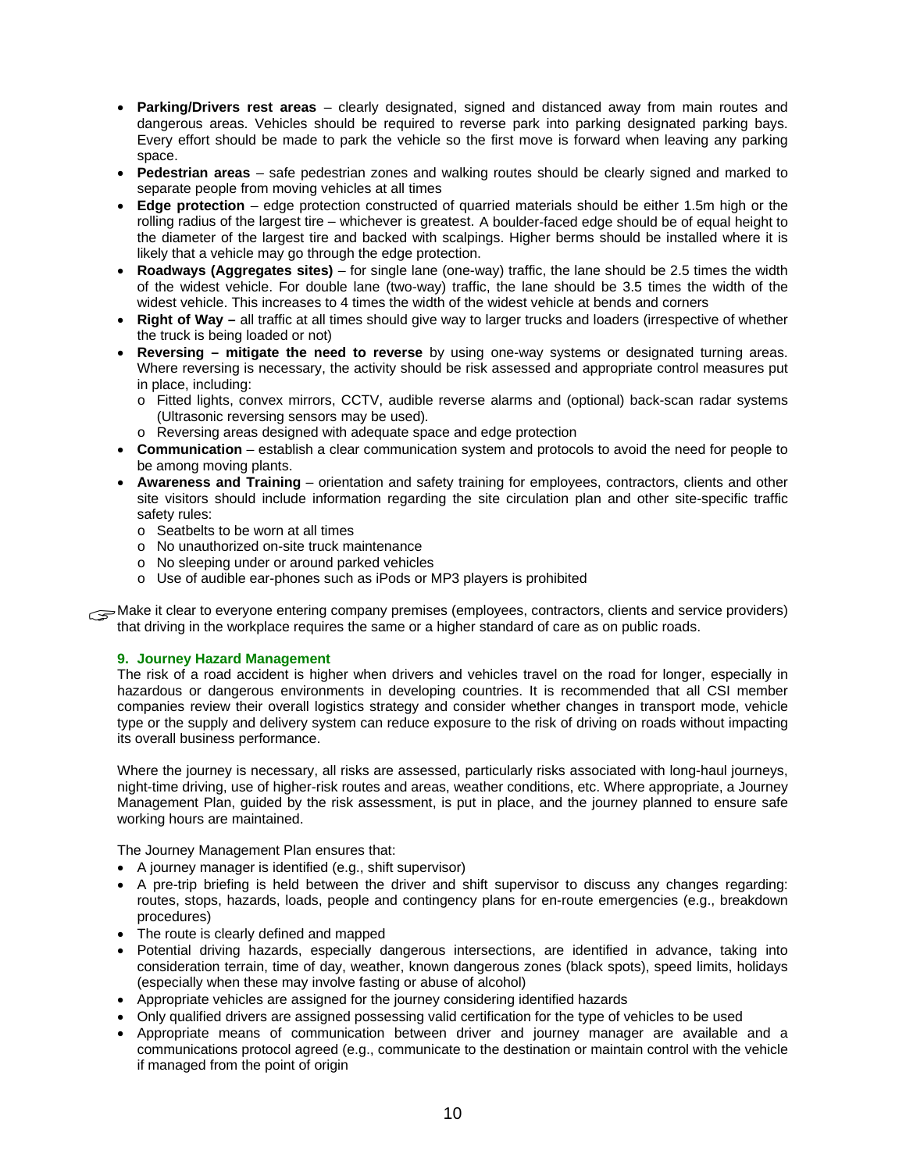- **Parking/Drivers rest areas**  clearly designated, signed and distanced away from main routes and dangerous areas. Vehicles should be required to reverse park into parking designated parking bays. Every effort should be made to park the vehicle so the first move is forward when leaving any parking space.
- **Pedestrian areas**  safe pedestrian zones and walking routes should be clearly signed and marked to separate people from moving vehicles at all times
- **Edge protection**  edge protection constructed of quarried materials should be either 1.5m high or the rolling radius of the largest tire – whichever is greatest. A boulder-faced edge should be of equal height to the diameter of the largest tire and backed with scalpings. Higher berms should be installed where it is likely that a vehicle may go through the edge protection.
- **Roadways (Aggregates sites)**  for single lane (one-way) traffic, the lane should be 2.5 times the width of the widest vehicle. For double lane (two-way) traffic, the lane should be 3.5 times the width of the widest vehicle. This increases to 4 times the width of the widest vehicle at bends and corners
- **Right of Way** all traffic at all times should give way to larger trucks and loaders (irrespective of whether the truck is being loaded or not)
- **Reversing mitigate the need to reverse** by using one-way systems or designated turning areas. Where reversing is necessary, the activity should be risk assessed and appropriate control measures put in place, including:
	- o Fitted lights, convex mirrors, CCTV, audible reverse alarms and (optional) back-scan radar systems (Ultrasonic reversing sensors may be used)*.*
	- o Reversing areas designed with adequate space and edge protection
- **Communication** establish a clear communication system and protocols to avoid the need for people to be among moving plants.
- **Awareness and Training** orientation and safety training for employees, contractors, clients and other site visitors should include information regarding the site circulation plan and other site-specific traffic safety rules:
	- o Seatbelts to be worn at all times
	- o No unauthorized on-site truck maintenance
	- o No sleeping under or around parked vehicles
	- o Use of audible ear-phones such as iPods or MP3 players is prohibited

Make it clear to everyone entering company premises (employees, contractors, clients and service providers) that driving in the workplace requires the same or a higher standard of care as on public roads. that driving in the workplace requires the same or a higher standard of care as on public roads.

#### **9. Journey Hazard Management**

The risk of a road accident is higher when drivers and vehicles travel on the road for longer, especially in hazardous or dangerous environments in developing countries. It is recommended that all CSI member companies review their overall logistics strategy and consider whether changes in transport mode, vehicle type or the supply and delivery system can reduce exposure to the risk of driving on roads without impacting its overall business performance.

Where the journey is necessary, all risks are assessed, particularly risks associated with long-haul journeys, night-time driving, use of higher-risk routes and areas, weather conditions, etc. Where appropriate, a Journey Management Plan, guided by the risk assessment, is put in place, and the journey planned to ensure safe working hours are maintained.

The Journey Management Plan ensures that:

- A journey manager is identified (e.g., shift supervisor)
- A pre-trip briefing is held between the driver and shift supervisor to discuss any changes regarding: routes, stops, hazards, loads, people and contingency plans for en-route emergencies (e.g., breakdown procedures)
- The route is clearly defined and mapped
- Potential driving hazards, especially dangerous intersections, are identified in advance, taking into consideration terrain, time of day, weather, known dangerous zones (black spots), speed limits, holidays (especially when these may involve fasting or abuse of alcohol)
- Appropriate vehicles are assigned for the journey considering identified hazards
- Only qualified drivers are assigned possessing valid certification for the type of vehicles to be used
- Appropriate means of communication between driver and journey manager are available and a communications protocol agreed (e.g., communicate to the destination or maintain control with the vehicle if managed from the point of origin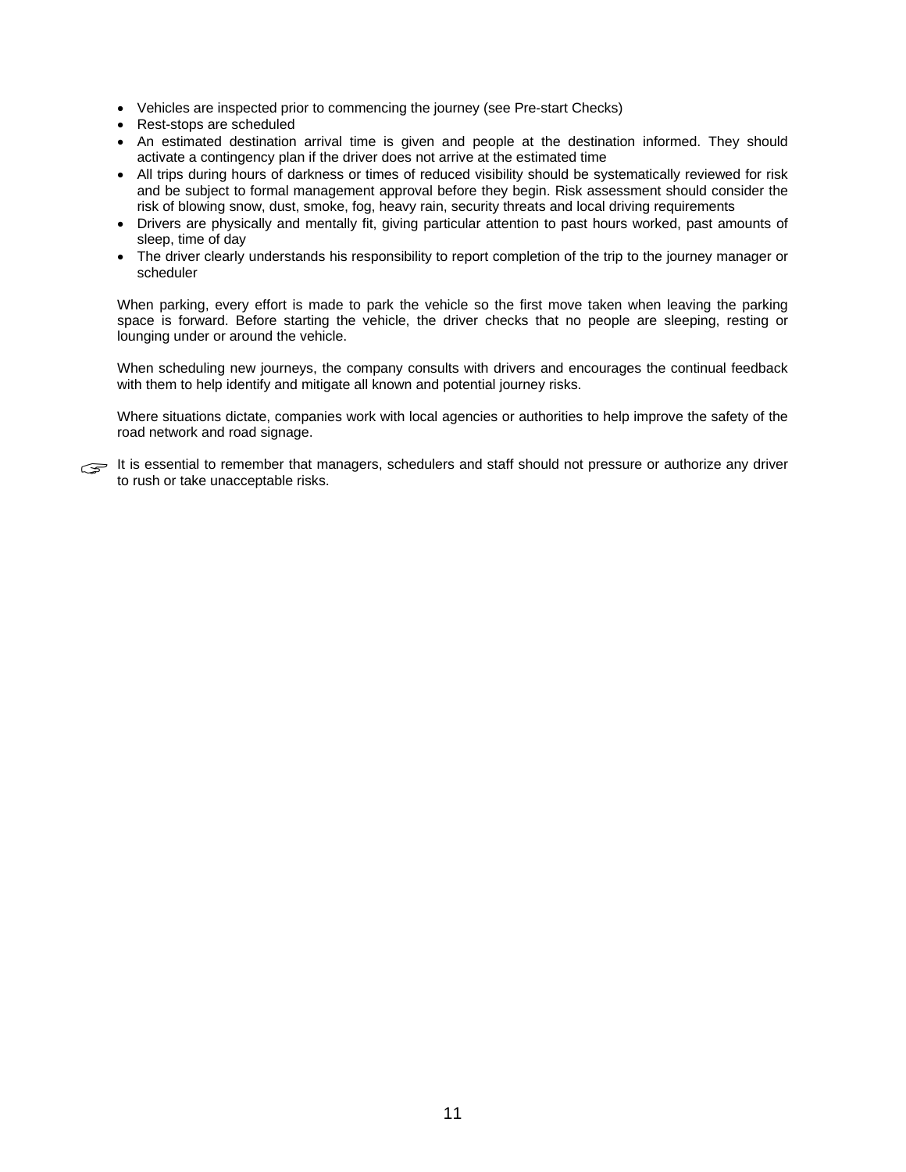- Vehicles are inspected prior to commencing the journey (see Pre-start Checks)
- Rest-stops are scheduled
- An estimated destination arrival time is given and people at the destination informed. They should activate a contingency plan if the driver does not arrive at the estimated time
- All trips during hours of darkness or times of reduced visibility should be systematically reviewed for risk and be subject to formal management approval before they begin. Risk assessment should consider the risk of blowing snow, dust, smoke, fog, heavy rain, security threats and local driving requirements
- Drivers are physically and mentally fit, giving particular attention to past hours worked, past amounts of sleep, time of day
- The driver clearly understands his responsibility to report completion of the trip to the journey manager or scheduler

When parking, every effort is made to park the vehicle so the first move taken when leaving the parking space is forward. Before starting the vehicle, the driver checks that no people are sleeping, resting or lounging under or around the vehicle.

When scheduling new journeys, the company consults with drivers and encourages the continual feedback with them to help identify and mitigate all known and potential journey risks.

Where situations dictate, companies work with local agencies or authorities to help improve the safety of the road network and road signage.

It is essential to remember that managers, schedulers and staff should not pressure or authorize any driver to rush or take unacceptable risks.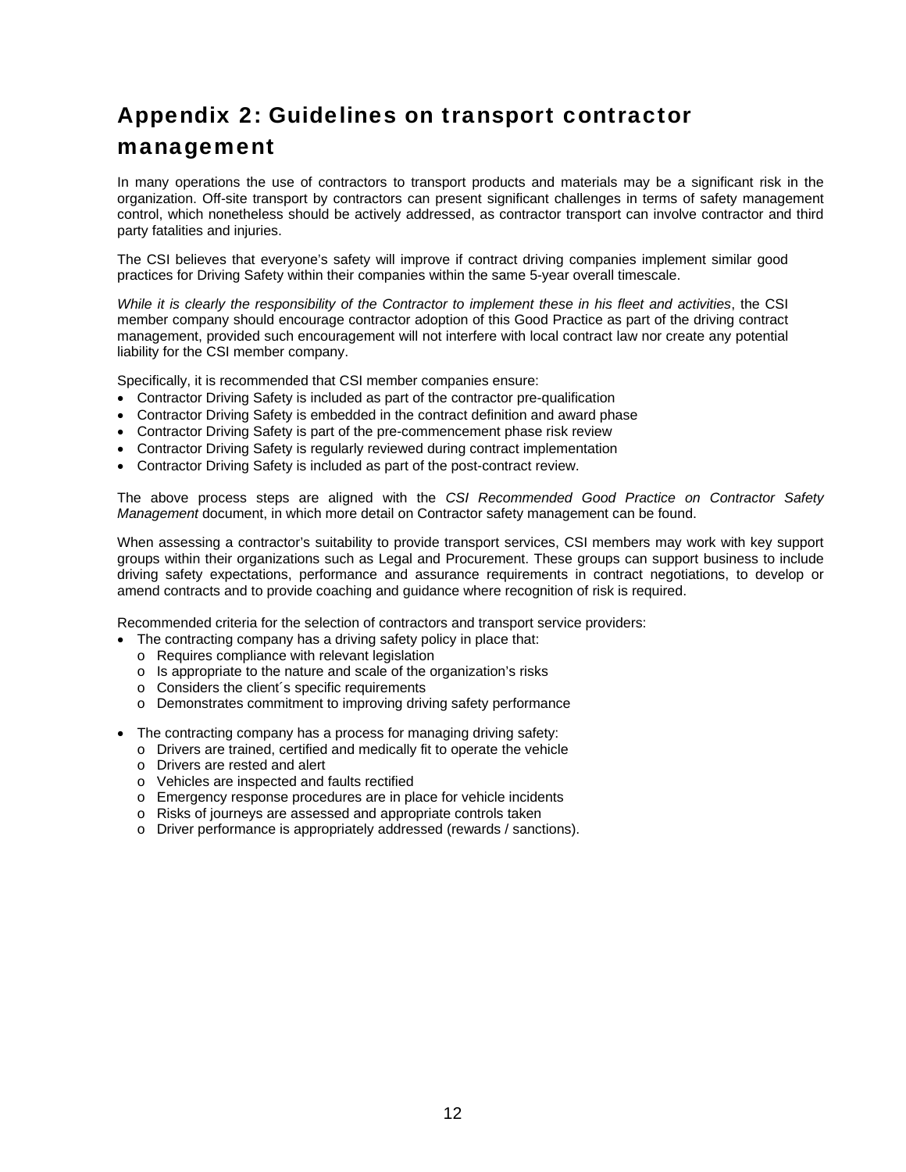## Appendix 2: Guidelines on transport contractor management

In many operations the use of contractors to transport products and materials may be a significant risk in the organization. Off-site transport by contractors can present significant challenges in terms of safety management control, which nonetheless should be actively addressed, as contractor transport can involve contractor and third party fatalities and injuries.

The CSI believes that everyone's safety will improve if contract driving companies implement similar good practices for Driving Safety within their companies within the same 5-year overall timescale.

*While it is clearly the responsibility of the Contractor to implement these in his fleet and activities*, the CSI member company should encourage contractor adoption of this Good Practice as part of the driving contract management, provided such encouragement will not interfere with local contract law nor create any potential liability for the CSI member company.

Specifically, it is recommended that CSI member companies ensure:

- Contractor Driving Safety is included as part of the contractor pre-qualification
- Contractor Driving Safety is embedded in the contract definition and award phase
- Contractor Driving Safety is part of the pre-commencement phase risk review
- Contractor Driving Safety is regularly reviewed during contract implementation
- Contractor Driving Safety is included as part of the post-contract review.

The above process steps are aligned with the *CSI Recommended Good Practice on Contractor Safety Management* document, in which more detail on Contractor safety management can be found.

When assessing a contractor's suitability to provide transport services, CSI members may work with key support groups within their organizations such as Legal and Procurement. These groups can support business to include driving safety expectations, performance and assurance requirements in contract negotiations, to develop or amend contracts and to provide coaching and guidance where recognition of risk is required.

Recommended criteria for the selection of contractors and transport service providers:

- The contracting company has a driving safety policy in place that:
	- o Requires compliance with relevant legislation
	- o Is appropriate to the nature and scale of the organization's risks
	- $\circ$  Considers the client's specific requirements
	- o Demonstrates commitment to improving driving safety performance
- The contracting company has a process for managing driving safety:
	- o Drivers are trained, certified and medically fit to operate the vehicle
	- o Drivers are rested and alert
	- o Vehicles are inspected and faults rectified
	- o Emergency response procedures are in place for vehicle incidents
	- o Risks of journeys are assessed and appropriate controls taken
	- o Driver performance is appropriately addressed (rewards / sanctions).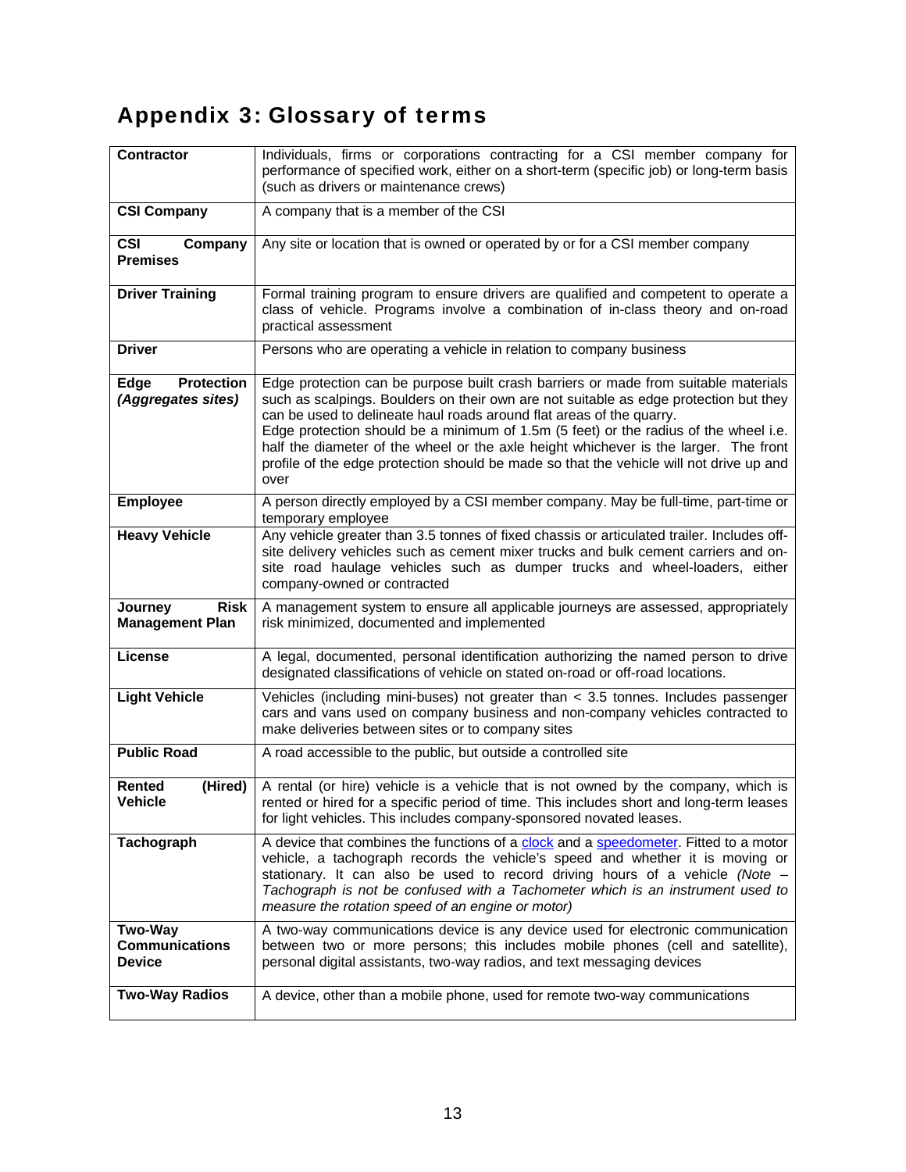# Appendix 3: Glossary of terms

| <b>Contractor</b>                                      | Individuals, firms or corporations contracting for a CSI member company for<br>performance of specified work, either on a short-term (specific job) or long-term basis<br>(such as drivers or maintenance crews)                                                                                                                                                                                                                                                                                                                        |
|--------------------------------------------------------|-----------------------------------------------------------------------------------------------------------------------------------------------------------------------------------------------------------------------------------------------------------------------------------------------------------------------------------------------------------------------------------------------------------------------------------------------------------------------------------------------------------------------------------------|
| <b>CSI Company</b>                                     | A company that is a member of the CSI                                                                                                                                                                                                                                                                                                                                                                                                                                                                                                   |
| <b>CSI</b><br>Company<br><b>Premises</b>               | Any site or location that is owned or operated by or for a CSI member company                                                                                                                                                                                                                                                                                                                                                                                                                                                           |
| <b>Driver Training</b>                                 | Formal training program to ensure drivers are qualified and competent to operate a<br>class of vehicle. Programs involve a combination of in-class theory and on-road<br>practical assessment                                                                                                                                                                                                                                                                                                                                           |
| <b>Driver</b>                                          | Persons who are operating a vehicle in relation to company business                                                                                                                                                                                                                                                                                                                                                                                                                                                                     |
| <b>Protection</b><br><b>Edge</b><br>(Aggregates sites) | Edge protection can be purpose built crash barriers or made from suitable materials<br>such as scalpings. Boulders on their own are not suitable as edge protection but they<br>can be used to delineate haul roads around flat areas of the quarry.<br>Edge protection should be a minimum of 1.5m (5 feet) or the radius of the wheel i.e.<br>half the diameter of the wheel or the axle height whichever is the larger. The front<br>profile of the edge protection should be made so that the vehicle will not drive up and<br>over |
| <b>Employee</b>                                        | A person directly employed by a CSI member company. May be full-time, part-time or<br>temporary employee                                                                                                                                                                                                                                                                                                                                                                                                                                |
| <b>Heavy Vehicle</b>                                   | Any vehicle greater than 3.5 tonnes of fixed chassis or articulated trailer. Includes off-<br>site delivery vehicles such as cement mixer trucks and bulk cement carriers and on-<br>site road haulage vehicles such as dumper trucks and wheel-loaders, either<br>company-owned or contracted                                                                                                                                                                                                                                          |
| <b>Risk</b><br>Journey<br><b>Management Plan</b>       | A management system to ensure all applicable journeys are assessed, appropriately<br>risk minimized, documented and implemented                                                                                                                                                                                                                                                                                                                                                                                                         |
| License                                                | A legal, documented, personal identification authorizing the named person to drive<br>designated classifications of vehicle on stated on-road or off-road locations.                                                                                                                                                                                                                                                                                                                                                                    |
| <b>Light Vehicle</b>                                   | Vehicles (including mini-buses) not greater than $<$ 3.5 tonnes. Includes passenger<br>cars and vans used on company business and non-company vehicles contracted to<br>make deliveries between sites or to company sites                                                                                                                                                                                                                                                                                                               |
| <b>Public Road</b>                                     | A road accessible to the public, but outside a controlled site                                                                                                                                                                                                                                                                                                                                                                                                                                                                          |
| Rented<br>(Hired)<br><b>Vehicle</b>                    | A rental (or hire) vehicle is a vehicle that is not owned by the company, which is<br>rented or hired for a specific period of time. This includes short and long-term leases<br>for light vehicles. This includes company-sponsored novated leases.                                                                                                                                                                                                                                                                                    |
| Tachograph                                             | A device that combines the functions of a clock and a speedometer. Fitted to a motor<br>vehicle, a tachograph records the vehicle's speed and whether it is moving or<br>stationary. It can also be used to record driving hours of a vehicle (Note $-$<br>Tachograph is not be confused with a Tachometer which is an instrument used to<br>measure the rotation speed of an engine or motor)                                                                                                                                          |
| <b>Two-Way</b><br><b>Communications</b><br>Device      | A two-way communications device is any device used for electronic communication<br>between two or more persons; this includes mobile phones (cell and satellite),<br>personal digital assistants, two-way radios, and text messaging devices                                                                                                                                                                                                                                                                                            |
| <b>Two-Way Radios</b>                                  | A device, other than a mobile phone, used for remote two-way communications                                                                                                                                                                                                                                                                                                                                                                                                                                                             |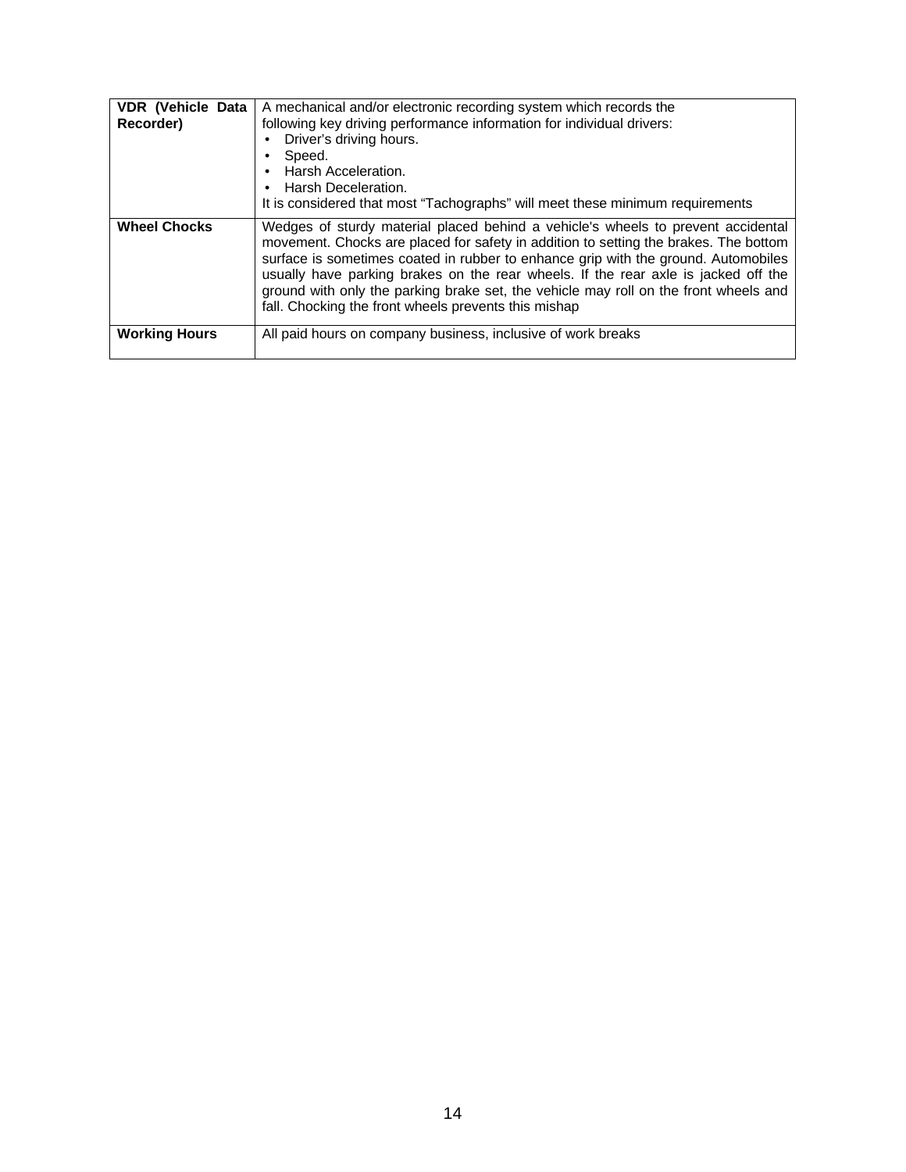| <b>VDR</b> (Vehicle Data<br>Recorder) | A mechanical and/or electronic recording system which records the<br>following key driving performance information for individual drivers:<br>Driver's driving hours.<br>Speed.<br>Harsh Acceleration.<br>• Harsh Deceleration.<br>It is considered that most "Tachographs" will meet these minimum requirements                                                                                                                                                                                     |
|---------------------------------------|------------------------------------------------------------------------------------------------------------------------------------------------------------------------------------------------------------------------------------------------------------------------------------------------------------------------------------------------------------------------------------------------------------------------------------------------------------------------------------------------------|
| <b>Wheel Chocks</b>                   | Wedges of sturdy material placed behind a vehicle's wheels to prevent accidental<br>movement. Chocks are placed for safety in addition to setting the brakes. The bottom<br>surface is sometimes coated in rubber to enhance grip with the ground. Automobiles<br>usually have parking brakes on the rear wheels. If the rear axle is jacked off the<br>ground with only the parking brake set, the vehicle may roll on the front wheels and<br>fall. Chocking the front wheels prevents this mishap |
| <b>Working Hours</b>                  | All paid hours on company business, inclusive of work breaks                                                                                                                                                                                                                                                                                                                                                                                                                                         |